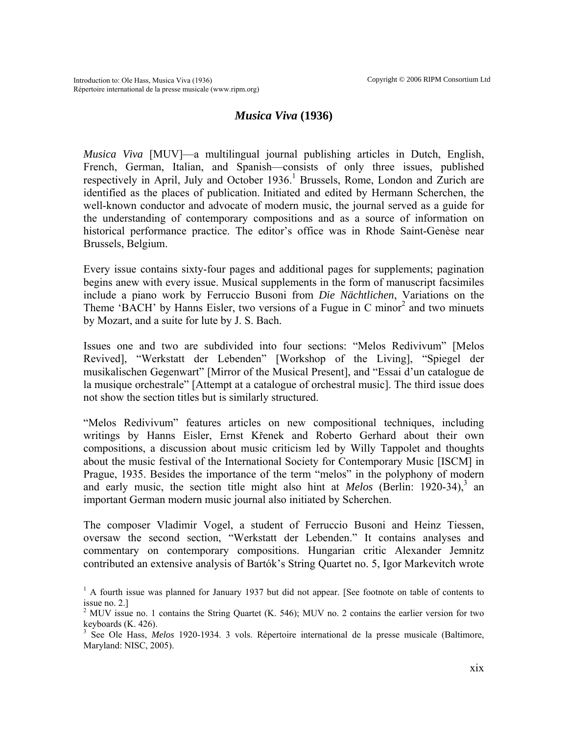## *Musica Viva* **(1936)**

*Musica Viva* [MUV]—a multilingual journal publishing articles in Dutch, English, French, German, Italian, and Spanish—consists of only three issues, published respectively in April, July and October [1](#page-0-0)936.<sup>1</sup> Brussels, Rome, London and Zurich are identified as the places of publication. Initiated and edited by Hermann Scherchen, the well-known conductor and advocate of modern music, the journal served as a guide for the understanding of contemporary compositions and as a source of information on historical performance practice. The editor's office was in Rhode Saint-Genèse near Brussels, Belgium.

Every issue contains sixty-four pages and additional pages for supplements; pagination begins anew with every issue. Musical supplements in the form of manuscript facsimiles include a piano work by Ferruccio Busoni from *Die Nächtlichen*, Variations on the Theme'BACH' by Hanns Eisler, two versions of a Fugue in C minor<sup>2</sup> and two minuets by Mozart, and a suite for lute by J. S. Bach.

Issues one and two are subdivided into four sections: "Melos Redivivum" [Melos Revived], "Werkstatt der Lebenden" [Workshop of the Living], "Spiegel der musikalischen Gegenwart" [Mirror of the Musical Present], and "Essai d'un catalogue de la musique orchestrale" [Attempt at a catalogue of orchestral music]. The third issue does not show the section titles but is similarly structured.

"Melos Redivivum" features articles on new compositional techniques, including writings by Hanns Eisler, Ernst Křenek and Roberto Gerhard about their own compositions, a discussion about music criticism led by Willy Tappolet and thoughts about the music festival of the International Society for Contemporary Music [ISCM] in Prague, 1935. Besides the importance of the term "melos" in the polyphony of modern and early music, the section title might also hint at *Melos* (Berlin: 1920-34),<sup>3</sup> an important German modern music journal also initiated by Scherchen.

The composer Vladimir Vogel, a student of Ferruccio Busoni and Heinz Tiessen, oversaw the second section, "Werkstatt der Lebenden." It contains analyses and commentary on contemporary compositions. Hungarian critic Alexander Jemnitz contributed an extensive analysis of Bartók's String Quartet no. 5, Igor Markevitch wrote

<span id="page-0-0"></span><sup>&</sup>lt;sup>1</sup> A fourth issue was planned for January 1937 but did not appear. [See footnote on table of contents to issue no. 2.]

<span id="page-0-1"></span><sup>&</sup>lt;sup>2</sup> MUV issue no. 1 contains the String Quartet (K. 546); MUV no. 2 contains the earlier version for two keyboards (K. 426).

<span id="page-0-2"></span><sup>3</sup> See Ole Hass, *Melos* 1920-1934. 3 vols. Répertoire international de la presse musicale (Baltimore, Maryland: NISC, 2005).